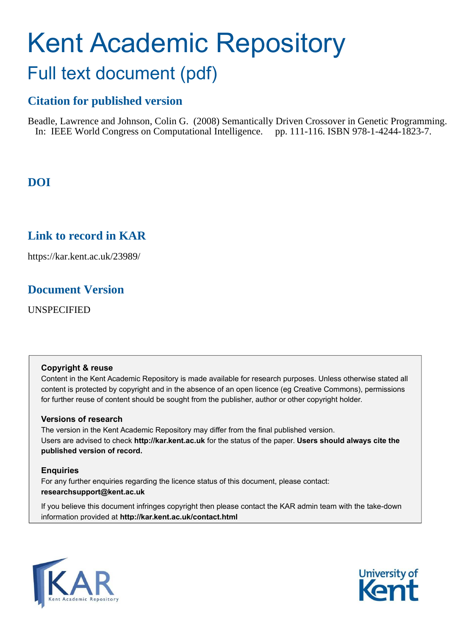# Kent Academic Repository Full text document (pdf)

## **Citation for published version**

Beadle, Lawrence and Johnson, Colin G. (2008) Semantically Driven Crossover in Genetic Programming. In: IEEE World Congress on Computational Intelligence. pp. 111-116. ISBN 978-1-4244-1823-7.

## **DOI**

## **Link to record in KAR**

https://kar.kent.ac.uk/23989/

## **Document Version**

UNSPECIFIED

#### **Copyright & reuse**

Content in the Kent Academic Repository is made available for research purposes. Unless otherwise stated all content is protected by copyright and in the absence of an open licence (eg Creative Commons), permissions for further reuse of content should be sought from the publisher, author or other copyright holder.

#### **Versions of research**

The version in the Kent Academic Repository may differ from the final published version. Users are advised to check **http://kar.kent.ac.uk** for the status of the paper. **Users should always cite the published version of record.**

#### **Enquiries**

For any further enquiries regarding the licence status of this document, please contact: **researchsupport@kent.ac.uk**

If you believe this document infringes copyright then please contact the KAR admin team with the take-down information provided at **http://kar.kent.ac.uk/contact.html**



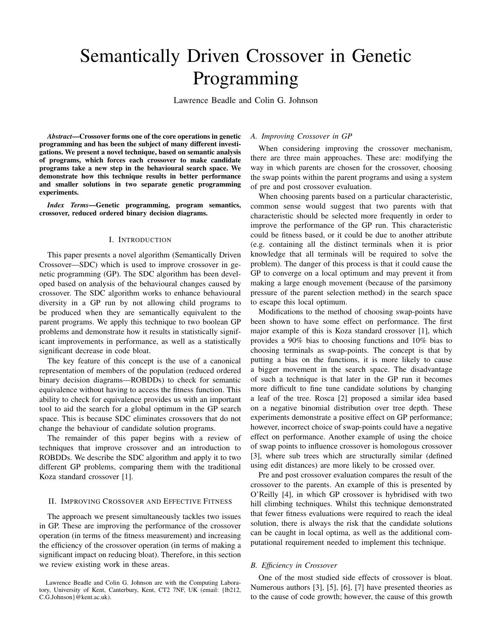## Semantically Driven Crossover in Genetic Programming

Lawrence Beadle and Colin G. Johnson

*Abstract*—Crossover forms one of the core operations in genetic programming and has been the subject of many different investigations. We present a novel technique, based on semantic analysis of programs, which forces each crossover to make candidate programs take a new step in the behavioural search space. We demonstrate how this technique results in better performance and smaller solutions in two separate genetic programming experiments.

*Index Terms*—Genetic programming, program semantics, crossover, reduced ordered binary decision diagrams.

#### I. INTRODUCTION

This paper presents a novel algorithm (Semantically Driven Crossover—SDC) which is used to improve crossover in genetic programming (GP). The SDC algorithm has been developed based on analysis of the behavioural changes caused by crossover. The SDC algorithm works to enhance behavioural diversity in a GP run by not allowing child programs to be produced when they are semantically equivalent to the parent programs. We apply this technique to two boolean GP problems and demonstrate how it results in statistically significant improvements in performance, as well as a statistically significant decrease in code bloat.

The key feature of this concept is the use of a canonical representation of members of the population (reduced ordered binary decision diagrams—ROBDDs) to check for semantic equivalence without having to access the fitness function. This ability to check for equivalence provides us with an important tool to aid the search for a global optimum in the GP search space. This is because SDC eliminates crossovers that do not change the behaviour of candidate solution programs.

The remainder of this paper begins with a review of techniques that improve crossover and an introduction to ROBDDs. We describe the SDC algorithm and apply it to two different GP problems, comparing them with the traditional Koza standard crossover [1].

#### II. IMPROVING CROSSOVER AND EFFECTIVE FITNESS

The approach we present simultaneously tackles two issues in GP. These are improving the performance of the crossover operation (in terms of the fitness measurement) and increasing the efficiency of the crossover operation (in terms of making a significant impact on reducing bloat). Therefore, in this section we review existing work in these areas.

#### *A. Improving Crossover in GP*

When considering improving the crossover mechanism, there are three main approaches. These are: modifying the way in which parents are chosen for the crossover, choosing the swap points within the parent programs and using a system of pre and post crossover evaluation.

When choosing parents based on a particular characteristic, common sense would suggest that two parents with that characteristic should be selected more frequently in order to improve the performance of the GP run. This characteristic could be fitness based, or it could be due to another attribute (e.g. containing all the distinct terminals when it is prior knowledge that all terminals will be required to solve the problem). The danger of this process is that it could cause the GP to converge on a local optimum and may prevent it from making a large enough movement (because of the parsimony pressure of the parent selection method) in the search space to escape this local optimum.

Modifications to the method of choosing swap-points have been shown to have some effect on performance. The first major example of this is Koza standard crossover [1], which provides a 90% bias to choosing functions and 10% bias to choosing terminals as swap-points. The concept is that by putting a bias on the functions, it is more likely to cause a bigger movement in the search space. The disadvantage of such a technique is that later in the GP run it becomes more difficult to fine tune candidate solutions by changing a leaf of the tree. Rosca [2] proposed a similar idea based on a negative binomial distribution over tree depth. These experiments demonstrate a positive effect on GP performance; however, incorrect choice of swap-points could have a negative effect on performance. Another example of using the choice of swap points to influence crossover is homologous crossover [3], where sub trees which are structurally similar (defined using edit distances) are more likely to be crossed over.

Pre and post crossover evaluation compares the result of the crossover to the parents. An example of this is presented by O'Reilly [4], in which GP crossover is hybridised with two hill climbing techniques. Whilst this technique demonstrated that fewer fitness evaluations were required to reach the ideal solution, there is always the risk that the candidate solutions can be caught in local optima, as well as the additional computational requirement needed to implement this technique.

#### *B. Efficiency in Crossover*

One of the most studied side effects of crossover is bloat. Numerous authors [3], [5], [6], [7] have presented theories as to the cause of code growth; however, the cause of this growth

Lawrence Beadle and Colin G. Johnson are with the Computing Laboratory, University of Kent, Canterbury, Kent, CT2 7NF, UK (email: {lb212, C.G.Johnson}@kent.ac.uk).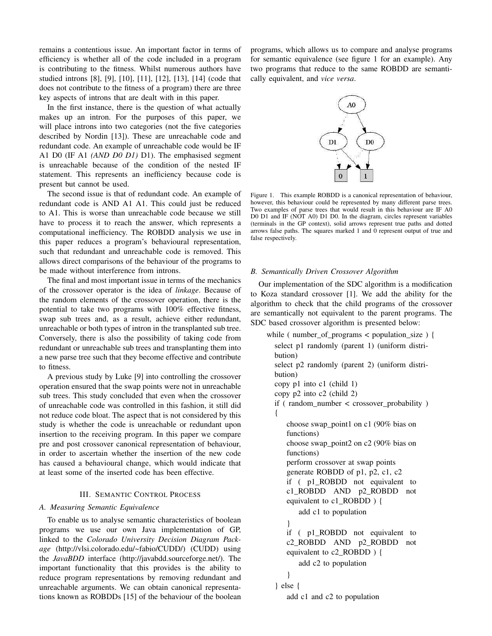remains a contentious issue. An important factor in terms of efficiency is whether all of the code included in a program is contributing to the fitness. Whilst numerous authors have studied introns [8], [9], [10], [11], [12], [13], [14] (code that does not contribute to the fitness of a program) there are three key aspects of introns that are dealt with in this paper.

In the first instance, there is the question of what actually makes up an intron. For the purposes of this paper, we will place introns into two categories (not the five categories described by Nordin [13]). These are unreachable code and redundant code. An example of unreachable code would be IF A1 D0 (IF A1 *(AND D0 D1)* D1). The emphasised segment is unreachable because of the condition of the nested IF statement. This represents an inefficiency because code is present but cannot be used.

The second issue is that of redundant code. An example of redundant code is AND A1 A1. This could just be reduced to A1. This is worse than unreachable code because we still have to process it to reach the answer, which represents a computational inefficiency. The ROBDD analysis we use in this paper reduces a program's behavioural representation, such that redundant and unreachable code is removed. This allows direct comparisons of the behaviour of the programs to be made without interference from introns.

The final and most important issue in terms of the mechanics of the crossover operator is the idea of *linkage*. Because of the random elements of the crossover operation, there is the potential to take two programs with 100% effective fitness, swap sub trees and, as a result, achieve either redundant, unreachable or both types of intron in the transplanted sub tree. Conversely, there is also the possibility of taking code from redundant or unreachable sub trees and transplanting them into a new parse tree such that they become effective and contribute to fitness.

A previous study by Luke [9] into controlling the crossover operation ensured that the swap points were not in unreachable sub trees. This study concluded that even when the crossover of unreachable code was controlled in this fashion, it still did not reduce code bloat. The aspect that is not considered by this study is whether the code is unreachable or redundant upon insertion to the receiving program. In this paper we compare pre and post crossover canonical representation of behaviour, in order to ascertain whether the insertion of the new code has caused a behavioural change, which would indicate that at least some of the inserted code has been effective.

#### III. SEMANTIC CONTROL PROCESS

#### *A. Measuring Semantic Equivalence*

To enable us to analyse semantic characteristics of boolean programs we use our own Java implementation of GP, linked to the *Colorado University Decision Diagram Package* (http://vlsi.colorado.edu/~fabio/CUDD/) (CUDD) using the *JavaBDD* interface (http://javabdd.sourceforge.net/). The important functionality that this provides is the ability to reduce program representations by removing redundant and unreachable arguments. We can obtain canonical representations known as ROBDDs [15] of the behaviour of the boolean

programs, which allows us to compare and analyse programs for semantic equivalence (see figure 1 for an example). Any two programs that reduce to the same ROBDD are semantically equivalent, and *vice versa*.



Figure 1. This example ROBDD is a canonical representation of behaviour, however, this behaviour could be represented by many different parse trees. Two examples of parse trees that would result in this behaviour are IF A0 D0 D1 and IF (NOT A0) D1 D0. In the diagram, circles represent variables (terminals in the GP context), solid arrows represent true paths and dotted arrows false paths. The squares marked 1 and 0 represent output of true and false respectively.

#### *B. Semantically Driven Crossover Algorithm*

Our implementation of the SDC algorithm is a modification to Koza standard crossover [1]. We add the ability for the algorithm to check that the child programs of the crossover are semantically not equivalent to the parent programs. The SDC based crossover algorithm is presented below:

```
while ( number_of_programs < population_size ) {
 select p1 randomly (parent 1) (uniform distri-
bution)
 select p2 randomly (parent 2) (uniform distri-
bution)
copy p1 into c1 (child 1)
 copy p2 into c2 (child 2)
 if ( random number \lt crossover probability )
 {
    choose swap_point1 on c1 (90% bias on
    functions)
    choose swap_point2 on c2 (90% bias on
    functions)
    perform crossover at swap points
    generate ROBDD of p1, p2, c1, c2
    if ( p1_ROBDD not equivalent to
    c1_ROBDD AND p2_ROBDD not
    equivalent to c1_ROBDD ) {
       add c1 to population
    }
    if ( p1_ROBDD not equivalent to
    c2_ROBDD AND p2_ROBDD not
    equivalent to c2_ROBDD ) {
       add c2 to population
    }
 } else {
    add c1 and c2 to population
```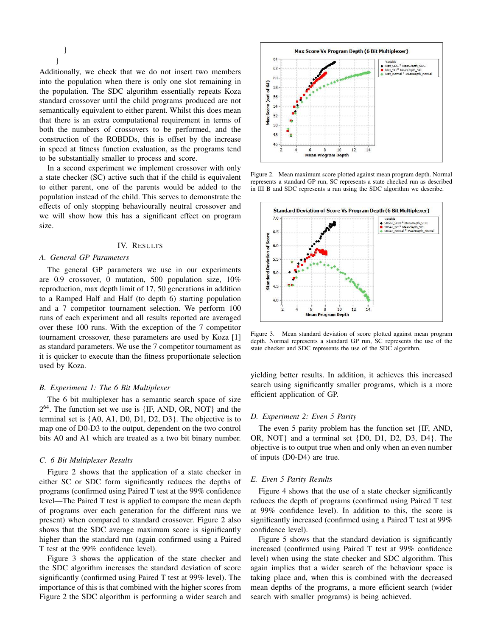} }

Additionally, we check that we do not insert two members into the population when there is only one slot remaining in the population. The SDC algorithm essentially repeats Koza standard crossover until the child programs produced are not semantically equivalent to either parent. Whilst this does mean that there is an extra computational requirement in terms of both the numbers of crossovers to be performed, and the construction of the ROBDDs, this is offset by the increase in speed at fitness function evaluation, as the programs tend to be substantially smaller to process and score.

In a second experiment we implement crossover with only a state checker (SC) active such that if the child is equivalent to either parent, one of the parents would be added to the population instead of the child. This serves to demonstrate the effects of only stopping behaviourally neutral crossover and we will show how this has a significant effect on program size.

#### IV. RESULTS

#### *A. General GP Parameters*

The general GP parameters we use in our experiments are 0.9 crossover, 0 mutation, 500 population size, 10% reproduction, max depth limit of 17, 50 generations in addition to a Ramped Half and Half (to depth 6) starting population and a 7 competitor tournament selection. We perform 100 runs of each experiment and all results reported are averaged over these 100 runs. With the exception of the 7 competitor tournament crossover, these parameters are used by Koza [1] as standard parameters. We use the 7 competitor tournament as it is quicker to execute than the fitness proportionate selection used by Koza.

#### *B. Experiment 1: The 6 Bit Multiplexer*

The 6 bit multiplexer has a semantic search space of size 2<sup>64</sup>. The function set we use is {IF, AND, OR, NOT} and the terminal set is {A0, A1, D0, D1, D2, D3}. The objective is to map one of D0-D3 to the output, dependent on the two control bits A0 and A1 which are treated as a two bit binary number.

#### *C. 6 Bit Multiplexer Results*

Figure 2 shows that the application of a state checker in either SC or SDC form significantly reduces the depths of programs (confirmed using Paired T test at the 99% confidence level—The Paired T test is applied to compare the mean depth of programs over each generation for the different runs we present) when compared to standard crossover. Figure 2 also shows that the SDC average maximum score is significantly higher than the standard run (again confirmed using a Paired T test at the 99% confidence level).

Figure 3 shows the application of the state checker and the SDC algorithm increases the standard deviation of score significantly (confirmed using Paired T test at 99% level). The importance of this is that combined with the higher scores from Figure 2 the SDC algorithm is performing a wider search and



Figure 2. Mean maximum score plotted against mean program depth. Normal represents a standard GP run, SC represents a state checked run as described in III B and SDC represents a run using the SDC algorithm we describe.



Figure 3. Mean standard deviation of score plotted against mean program depth. Normal represents a standard GP run, SC represents the use of the state checker and SDC represents the use of the SDC algorithm.

yielding better results. In addition, it achieves this increased search using significantly smaller programs, which is a more efficient application of GP.

#### *D. Experiment 2: Even 5 Parity*

The even 5 parity problem has the function set {IF, AND, OR, NOT} and a terminal set {D0, D1, D2, D3, D4}. The objective is to output true when and only when an even number of inputs (D0-D4) are true.

#### *E. Even 5 Parity Results*

Figure 4 shows that the use of a state checker significantly reduces the depth of programs (confirmed using Paired T test at 99% confidence level). In addition to this, the score is significantly increased (confirmed using a Paired T test at 99% confidence level).

Figure 5 shows that the standard deviation is significantly increased (confirmed using Paired T test at 99% confidence level) when using the state checker and SDC algorithm. This again implies that a wider search of the behaviour space is taking place and, when this is combined with the decreased mean depths of the programs, a more efficient search (wider search with smaller programs) is being achieved.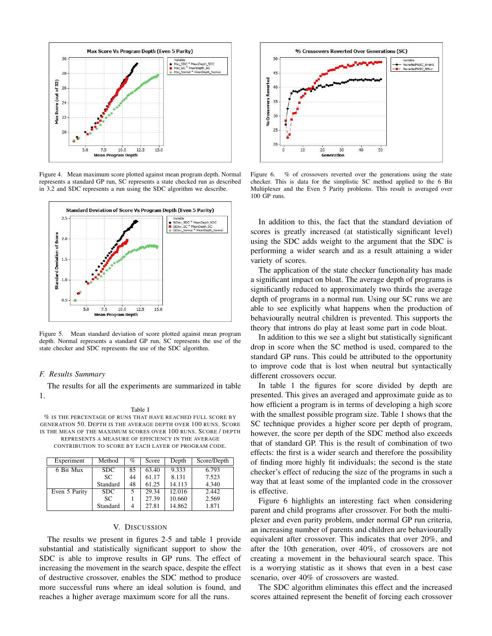

Figure 4. Mean maximum score plotted against mean program depth. Normal represents a standard GP run, SC represents a state checked run as described in 3.2 and SDC represents a run using the SDC algorithm we describe.



Figure 5. Mean standard deviation of score plotted against mean program depth. Normal represents a standard GP run, SC represents the use of the state checker and SDC represents the use of the SDC algorithm.

#### *F. Results Summary*

The results for all the experiments are summarized in table 1.

#### Table I

% IS THE PERCENTAGE OF RUNS THAT HAVE REACHED FULL SCORE BY GENERATION 50. DEPTH IS THE AVERAGE DEPTH OVER 100 RUNS. SCORE IS THE MEAN OF THE MAXIMUM SCORES OVER 100 RUNS. SCORE / DEPTH REPRESENTS A MEASURE OF EFFICIENCY IN THE AVERAGE CONTRIBUTION TO SCORE BY EACH LAYER OF PROGRAM CODE.

| Experiment    | Method     | $\%$ | Score | Depth  | Score/Depth |
|---------------|------------|------|-------|--------|-------------|
| 6 Bit Mux     | <b>SDC</b> | 85   | 63.40 | 9.333  | 6.793       |
|               | SC.        | 44   | 61.17 | 8.131  | 7.523       |
|               | Standard   | 48   | 61.25 | 14.113 | 4.340       |
| Even 5 Parity | <b>SDC</b> | 5    | 29.34 | 12.016 | 2.442       |
|               | SC.        |      | 27.39 | 10.660 | 2.569       |
|               | Standard   | 4    | 27.81 | 14.862 | 1.871       |

#### V. DISCUSSION

The results we present in figures 2-5 and table 1 provide substantial and statistically significant support to show the SDC is able to improve results in GP runs. The effect of increasing the movement in the search space, despite the effect of destructive crossover, enables the SDC method to produce more successful runs where an ideal solution is found, and reaches a higher average maximum score for all the runs.



Figure 6. % of crossovers reverted over the generations using the state checker. This is data for the simplistic SC method applied to the 6 Bit Multiplexer and the Even 5 Parity problems. This result is averaged over 100 GP runs.

In addition to this, the fact that the standard deviation of scores is greatly increased (at statistically significant level) using the SDC adds weight to the argument that the SDC is performing a wider search and as a result attaining a wider variety of scores.

The application of the state checker functionality has made a significant impact on bloat. The average depth of programs is significantly reduced to approximately two thirds the average depth of programs in a normal run. Using our SC runs we are able to see explicitly what happens when the production of behaviourally neutral children is prevented. This supports the theory that introns do play at least some part in code bloat.

In addition to this we see a slight but statistically significant drop in score when the SC method is used, compared to the standard GP runs. This could be attributed to the opportunity to improve code that is lost when neutral but syntactically different crossovers occur.

In table 1 the figures for score divided by depth are presented. This gives an averaged and approximate guide as to how efficient a program is in terms of developing a high score with the smallest possible program size. Table 1 shows that the SC technique provides a higher score per depth of program, however, the score per depth of the SDC method also exceeds that of standard GP. This is the result of combination of two effects: the first is a wider search and therefore the possibility of finding more highly fit individuals; the second is the state checker's effect of reducing the size of the programs in such a way that at least some of the implanted code in the crossover is effective.

Figure 6 highlights an interesting fact when considering parent and child programs after crossover. For both the multiplexer and even parity problem, under normal GP run criteria, an increasing number of parents and children are behaviourally equivalent after crossover. This indicates that over 20%, and after the 10th generation, over 40%, of crossovers are not creating a movement in the behavioural search space. This is a worrying statistic as it shows that even in a best case scenario, over 40% of crossovers are wasted.

The SDC algorithm eliminates this effect and the increased scores attained represent the benefit of forcing each crossover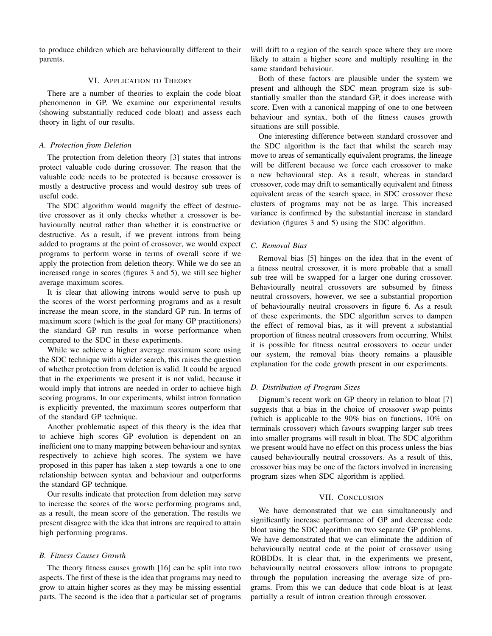to produce children which are behaviourally different to their parents.

#### VI. APPLICATION TO THEORY

There are a number of theories to explain the code bloat phenomenon in GP. We examine our experimental results (showing substantially reduced code bloat) and assess each theory in light of our results.

#### *A. Protection from Deletion*

The protection from deletion theory [3] states that introns protect valuable code during crossover. The reason that the valuable code needs to be protected is because crossover is mostly a destructive process and would destroy sub trees of useful code.

The SDC algorithm would magnify the effect of destructive crossover as it only checks whether a crossover is behaviourally neutral rather than whether it is constructive or destructive. As a result, if we prevent introns from being added to programs at the point of crossover, we would expect programs to perform worse in terms of overall score if we apply the protection from deletion theory. While we do see an increased range in scores (figures 3 and 5), we still see higher average maximum scores.

It is clear that allowing introns would serve to push up the scores of the worst performing programs and as a result increase the mean score, in the standard GP run. In terms of maximum score (which is the goal for many GP practitioners) the standard GP run results in worse performance when compared to the SDC in these experiments.

While we achieve a higher average maximum score using the SDC technique with a wider search, this raises the question of whether protection from deletion is valid. It could be argued that in the experiments we present it is not valid, because it would imply that introns are needed in order to achieve high scoring programs. In our experiments, whilst intron formation is explicitly prevented, the maximum scores outperform that of the standard GP technique.

Another problematic aspect of this theory is the idea that to achieve high scores GP evolution is dependent on an inefficient one to many mapping between behaviour and syntax respectively to achieve high scores. The system we have proposed in this paper has taken a step towards a one to one relationship between syntax and behaviour and outperforms the standard GP technique.

Our results indicate that protection from deletion may serve to increase the scores of the worse performing programs and, as a result, the mean score of the generation. The results we present disagree with the idea that introns are required to attain high performing programs.

#### *B. Fitness Causes Growth*

The theory fitness causes growth [16] can be split into two aspects. The first of these is the idea that programs may need to grow to attain higher scores as they may be missing essential parts. The second is the idea that a particular set of programs will drift to a region of the search space where they are more likely to attain a higher score and multiply resulting in the same standard behaviour.

Both of these factors are plausible under the system we present and although the SDC mean program size is substantially smaller than the standard GP, it does increase with score. Even with a canonical mapping of one to one between behaviour and syntax, both of the fitness causes growth situations are still possible.

One interesting difference between standard crossover and the SDC algorithm is the fact that whilst the search may move to areas of semantically equivalent programs, the lineage will be different because we force each crossover to make a new behavioural step. As a result, whereas in standard crossover, code may drift to semantically equivalent and fitness equivalent areas of the search space, in SDC crossover these clusters of programs may not be as large. This increased variance is confirmed by the substantial increase in standard deviation (figures 3 and 5) using the SDC algorithm.

#### *C. Removal Bias*

Removal bias [5] hinges on the idea that in the event of a fitness neutral crossover, it is more probable that a small sub tree will be swapped for a larger one during crossover. Behaviourally neutral crossovers are subsumed by fitness neutral crossovers, however, we see a substantial proportion of behaviourally neutral crossovers in figure 6. As a result of these experiments, the SDC algorithm serves to dampen the effect of removal bias, as it will prevent a substantial proportion of fitness neutral crossovers from occurring. Whilst it is possible for fitness neutral crossovers to occur under our system, the removal bias theory remains a plausible explanation for the code growth present in our experiments.

#### *D. Distribution of Program Sizes*

Dignum's recent work on GP theory in relation to bloat [7] suggests that a bias in the choice of crossover swap points (which is applicable to the 90% bias on functions, 10% on terminals crossover) which favours swapping larger sub trees into smaller programs will result in bloat. The SDC algorithm we present would have no effect on this process unless the bias caused behaviourally neutral crossovers. As a result of this, crossover bias may be one of the factors involved in increasing program sizes when SDC algorithm is applied.

#### VII. CONCLUSION

We have demonstrated that we can simultaneously and significantly increase performance of GP and decrease code bloat using the SDC algorithm on two separate GP problems. We have demonstrated that we can eliminate the addition of behaviourally neutral code at the point of crossover using ROBDDs. It is clear that, in the experiments we present, behaviourally neutral crossovers allow introns to propagate through the population increasing the average size of programs. From this we can deduce that code bloat is at least partially a result of intron creation through crossover.